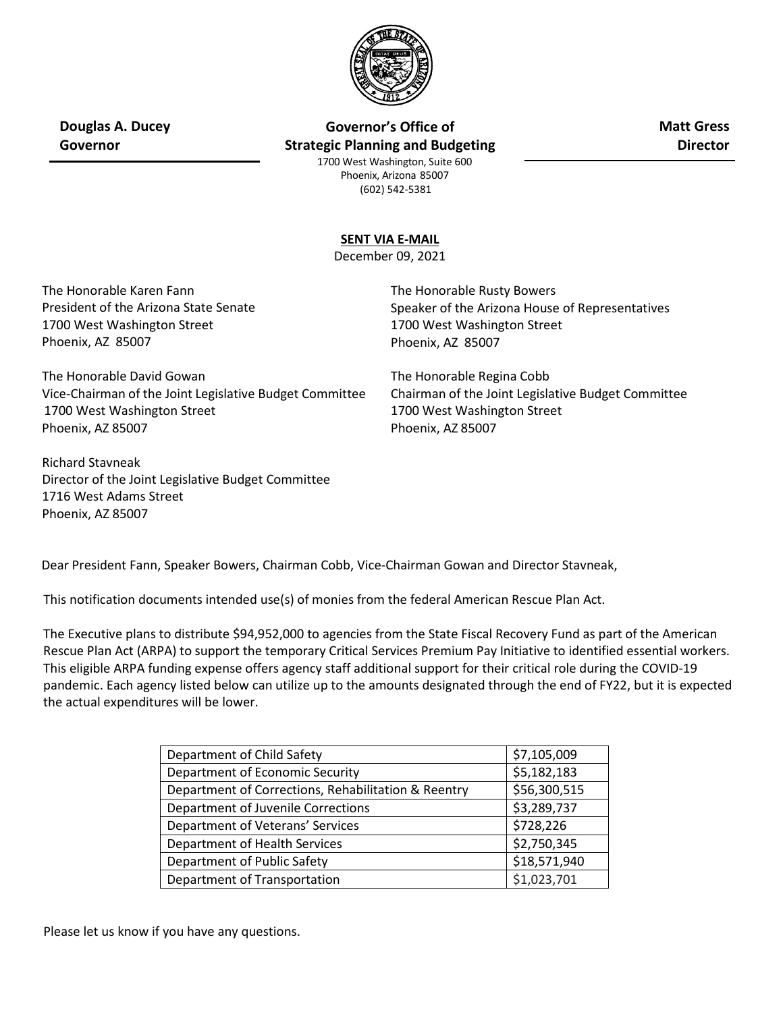

**Douglas A. Ducey Governor**

**Governor's Office of Strategic Planning and Budgeting** **Matt Gress Director**

1700 West Washington, Suite 600 Phoenix, Arizona 85007 (602) 542-5381

## **SENT VIA E-MAIL**

December 09, 2021

The Honorable Karen Fann President of the Arizona State Senate 1700 West Washington Street Phoenix, AZ 85007

The Honorable David Gowan Vice-Chairman of the Joint Legislative Budget Committee 1700 West Washington Street Phoenix, AZ 85007

Richard Stavneak Director of the Joint Legislative Budget Committee 1716 West Adams Street Phoenix, AZ 85007

The Honorable Rusty Bowers Speaker of the Arizona House of Representatives 1700 West Washington Street Phoenix, AZ 85007

The Honorable Regina Cobb Chairman of the Joint Legislative Budget Committee 1700 West Washington Street Phoenix, AZ 85007

Dear President Fann, Speaker Bowers, Chairman Cobb, Vice-Chairman Gowan and Director Stavneak,

This notification documents intended use(s) of monies from the federal American Rescue Plan Act.

The Executive plans to distribute \$94,952,000 to agencies from the State Fiscal Recovery Fund as part of the American Rescue Plan Act (ARPA) to support the temporary Critical Services Premium Pay Initiative to identified essential workers. This eligible ARPA funding expense offers agency staff additional support for their critical role during the COVID-19 pandemic. Each agency listed below can utilize up to the amounts designated through the end of FY22, but it is expected the actual expenditures will be lower.

| Department of Child Safety                          | \$7,105,009  |
|-----------------------------------------------------|--------------|
| Department of Economic Security                     | \$5,182,183  |
| Department of Corrections, Rehabilitation & Reentry | \$56,300,515 |
| Department of Juvenile Corrections                  | \$3,289,737  |
| Department of Veterans' Services                    | \$728,226    |
| Department of Health Services                       | \$2,750,345  |
| Department of Public Safety                         | \$18,571,940 |
| Department of Transportation                        | \$1,023,701  |

Please let us know if you have any questions.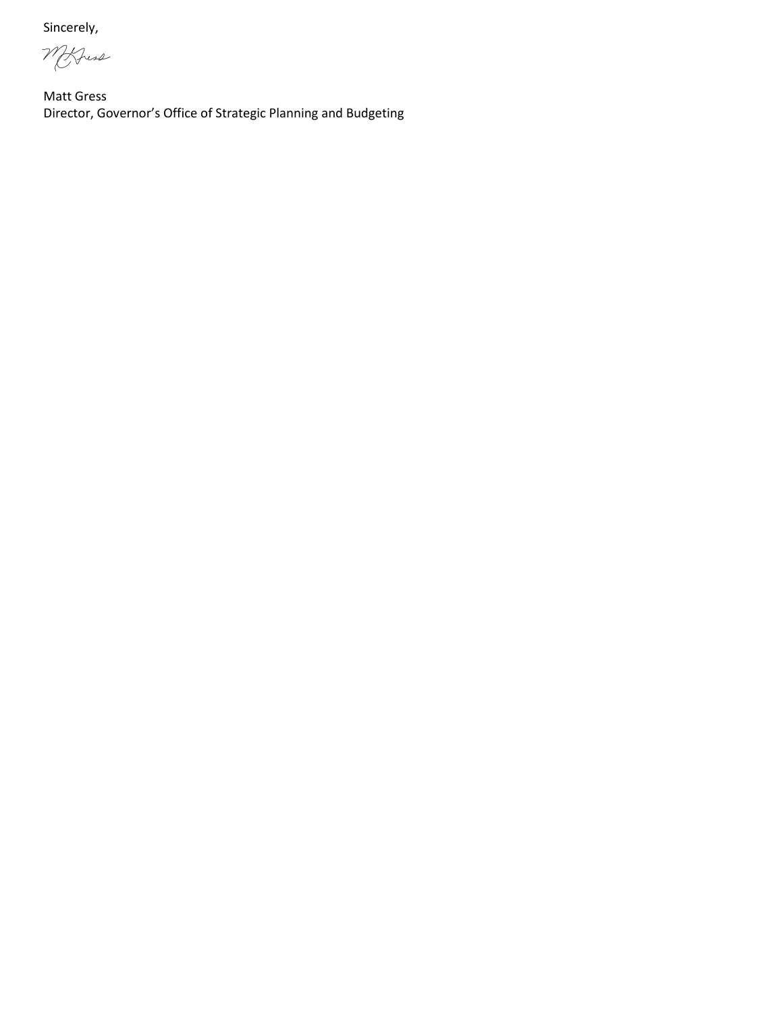Sincerely,

Morris

Matt Gress Director, Governor's Office of Strategic Planning and Budgeting